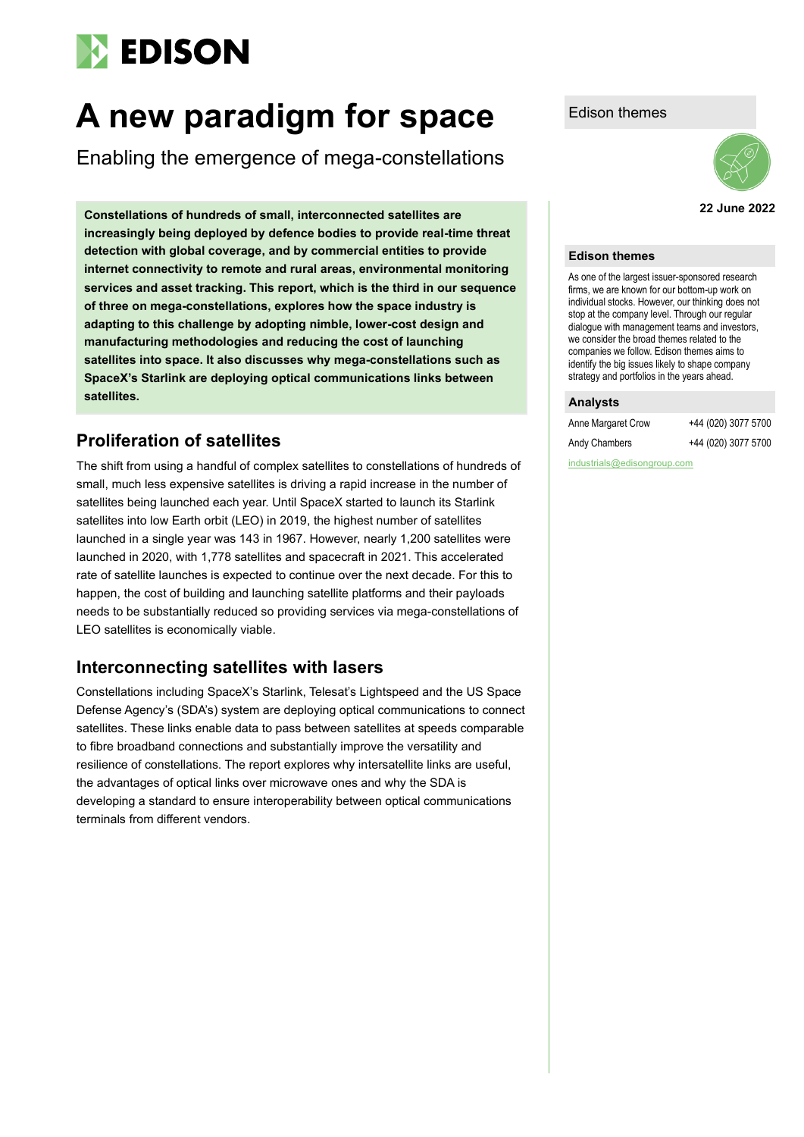# **EDISON**

# A new paradigm for space Edison themes

Enabling the emergence of mega-constellations

**22 June 2022 Constellations of hundreds of small, interconnected satellites are increasingly being deployed by defence bodies to provide real-time threat detection with global coverage, and by commercial entities to provide internet connectivity to remote and rural areas, environmental monitoring services and asset tracking. This report, which is the third in our sequence of three on mega-constellations, explores how the space industry is adapting to this challenge by adopting nimble, lower-cost design and manufacturing methodologies and reducing the cost of launching satellites into space. It also discusses why mega-constellations such as SpaceX's Starlink are deploying optical communications links between satellites.**

## **Proliferation of satellites**

The shift from using a handful of complex satellites to constellations of hundreds of small, much less expensive satellites is driving a rapid increase in the number of satellites being launched each year. Until SpaceX started to launch its Starlink satellites into low Earth orbit (LEO) in 2019, the highest number of satellites launched in a single year was 143 in 1967. However, nearly 1,200 satellites were launched in 2020, with 1,778 satellites and spacecraft in 2021. This accelerated rate of satellite launches is expected to continue over the next decade. For this to happen, the cost of building and launching satellite platforms and their payloads needs to be substantially reduced so providing services via mega-constellations of LEO satellites is economically viable.

# **Interconnecting satellites with lasers**

Constellations including SpaceX's Starlink, Telesat's Lightspeed and the US Space Defense Agency's (SDA's) system are deploying optical communications to connect satellites. These links enable data to pass between satellites at speeds comparable to fibre broadband connections and substantially improve the versatility and resilience of constellations. The report explores why intersatellite links are useful, the advantages of optical links over microwave ones and why the SDA is developing a standard to ensure interoperability between optical communications terminals from different vendors.



#### **Edison themes**

As one of the largest issuer-sponsored research firms, we are known for our bottom-up work on individual stocks. However, our thinking does not stop at the company level. Through our regular dialogue with management teams and investors, we consider the broad themes related to the companies we follow. Edison themes aims to identify the big issues likely to shape company strategy and portfolios in the years ahead.

#### **Analysts**

| Anne Margaret Crow | +44 (020) 3077 5700 |
|--------------------|---------------------|
| Andy Chambers      | +44 (020) 3077 5700 |

industrials@edisongroup.com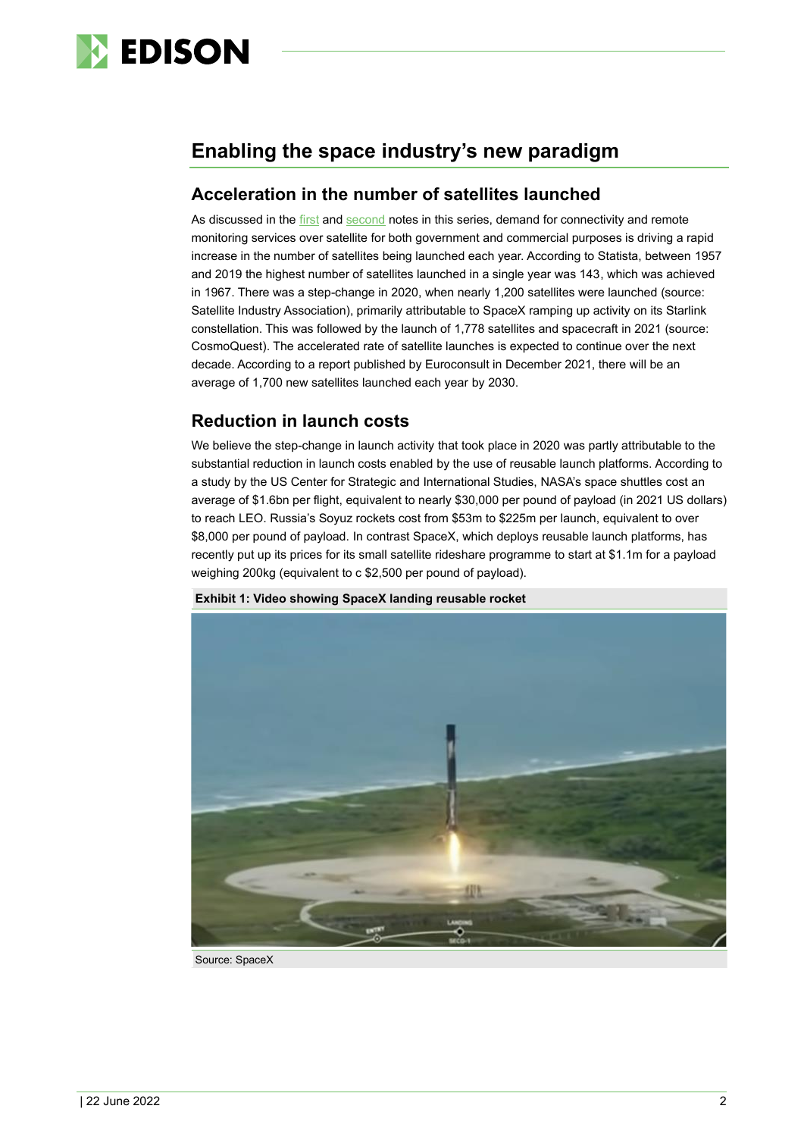

# **Enabling the space industry's new paradigm**

## **Acceleration in the number of satellites launched**

As discussed in the [first](https://www.edisongroup.com/sector-report/all-seeing-eye-in-the-sky/) and [second](https://www.edisongroup.com/sector-report/internet-in-the-sky/) notes in this series, demand for connectivity and remote monitoring services over satellite for both government and commercial purposes is driving a rapid increase in the number of satellites being launched each year. According to Statista, between 1957 and 2019 the highest number of satellites launched in a single year was 143, which was achieved in 1967. There was a step-change in 2020, when nearly 1,200 satellites were launched (source: Satellite Industry Association), primarily attributable to SpaceX ramping up activity on its Starlink constellation. This was followed by the launch of 1,778 satellites and spacecraft in 2021 (source: CosmoQuest). The accelerated rate of satellite launches is expected to continue over the next decade. According to a report published by Euroconsult in December 2021, there will be an average of 1,700 new satellites launched each year by 2030.

## **Reduction in launch costs**

We believe the step-change in launch activity that took place in 2020 was partly attributable to the substantial reduction in launch costs enabled by the use of reusable launch platforms. According to a study by the US Center for Strategic and International Studies, NASA's space shuttles cost an average of \$1.6bn per flight, equivalent to nearly \$30,000 per pound of payload (in 2021 US dollars) to reach LEO. Russia's Soyuz rockets cost from \$53m to \$225m per launch, equivalent to over \$8,000 per pound of payload. In contrast SpaceX, which deploys reusable launch platforms, has recently put up its prices for its small satellite rideshare programme to start at \$1.1m for a payload weighing 200kg (equivalent to c \$2,500 per pound of payload).



**Exhibit 1: Video showing SpaceX landing reusable rocket**

Source: SpaceX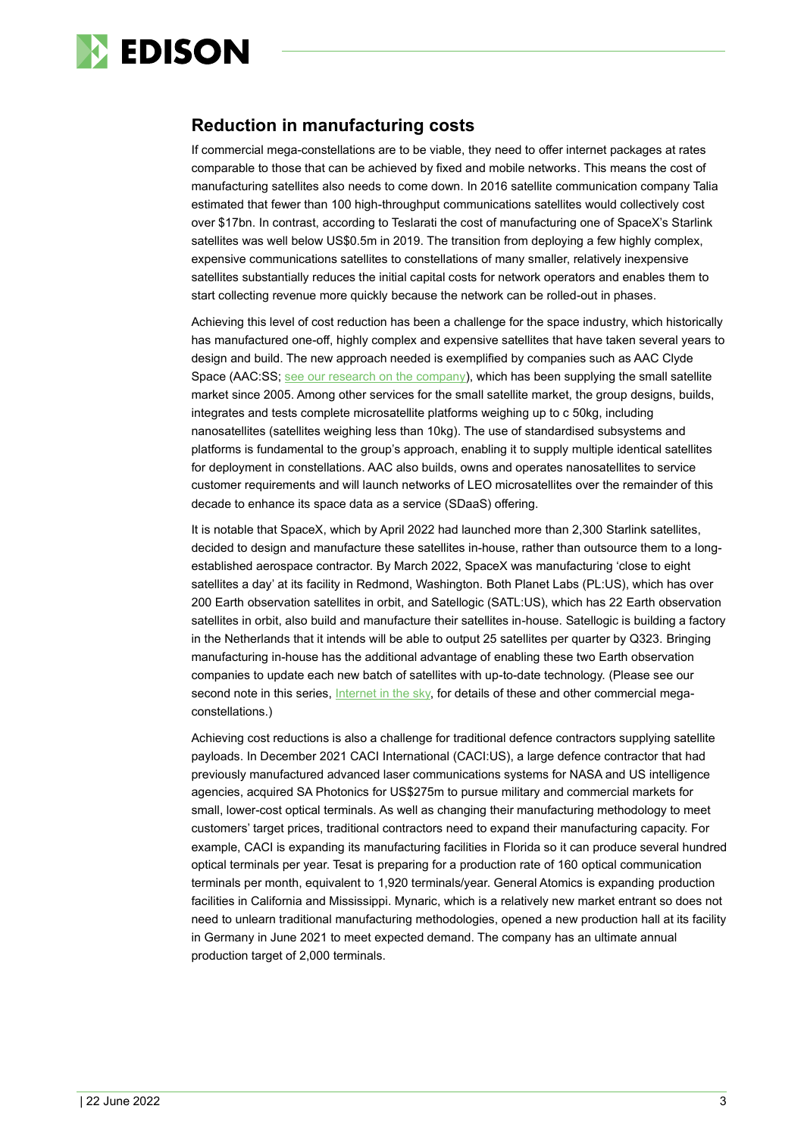

## **Reduction in manufacturing costs**

If commercial mega-constellations are to be viable, they need to offer internet packages at rates comparable to those that can be achieved by fixed and mobile networks. This means the cost of manufacturing satellites also needs to come down. In 2016 satellite communication company Talia estimated that fewer than 100 high-throughput communications satellites would collectively cost over \$17bn. In contrast, according to Teslarati the cost of manufacturing one of SpaceX's Starlink satellites was well below US\$0.5m in 2019. The transition from deploying a few highly complex, expensive communications satellites to constellations of many smaller, relatively inexpensive satellites substantially reduces the initial capital costs for network operators and enables them to start collecting revenue more quickly because the network can be rolled-out in phases.

Achieving this level of cost reduction has been a challenge for the space industry, which historically has manufactured one-off, highly complex and expensive satellites that have taken several years to design and build. The new approach needed is exemplified by companies such as AAC Clyde Space (AAC:SS; see our [research on the company\)](https://www.edisongroup.com/company/aac-clyde-space/), which has been supplying the small satellite market since 2005. Among other services for the small satellite market, the group designs, builds, integrates and tests complete microsatellite platforms weighing up to c 50kg, including nanosatellites (satellites weighing less than 10kg). The use of standardised subsystems and platforms is fundamental to the group's approach, enabling it to supply multiple identical satellites for deployment in constellations. AAC also builds, owns and operates nanosatellites to service customer requirements and will launch networks of LEO microsatellites over the remainder of this decade to enhance its space data as a service (SDaaS) offering.

It is notable that SpaceX, which by April 2022 had launched more than 2,300 Starlink satellites, decided to design and manufacture these satellites in-house, rather than outsource them to a longestablished aerospace contractor. By March 2022, SpaceX was manufacturing 'close to eight satellites a day' at its facility in Redmond, Washington. Both Planet Labs (PL:US), which has over 200 Earth observation satellites in orbit, and Satellogic (SATL:US), which has 22 Earth observation satellites in orbit, also build and manufacture their satellites in-house. Satellogic is building a factory in the Netherlands that it intends will be able to output 25 satellites per quarter by Q323. Bringing manufacturing in-house has the additional advantage of enabling these two Earth observation companies to update each new batch of satellites with up-to-date technology. (Please see our second note in this series, [Internet in the sky,](https://www.edisongroup.com/sector-report/internet-in-the-sky/) for details of these and other commercial megaconstellations.)

Achieving cost reductions is also a challenge for traditional defence contractors supplying satellite payloads. In December 2021 CACI International (CACI:US), a large defence contractor that had previously manufactured advanced laser communications systems for NASA and US intelligence agencies, acquired SA Photonics for US\$275m to pursue military and commercial markets for small, lower-cost optical terminals. As well as changing their manufacturing methodology to meet customers' target prices, traditional contractors need to expand their manufacturing capacity. For example, CACI is expanding its manufacturing facilities in Florida so it can produce several hundred optical terminals per year. Tesat is preparing for a production rate of 160 optical communication terminals per month, equivalent to 1,920 terminals/year. General Atomics is expanding production facilities in California and Mississippi. Mynaric, which is a relatively new market entrant so does not need to unlearn traditional manufacturing methodologies, opened a new production hall at its facility in Germany in June 2021 to meet expected demand. The company has an ultimate annual production target of 2,000 terminals.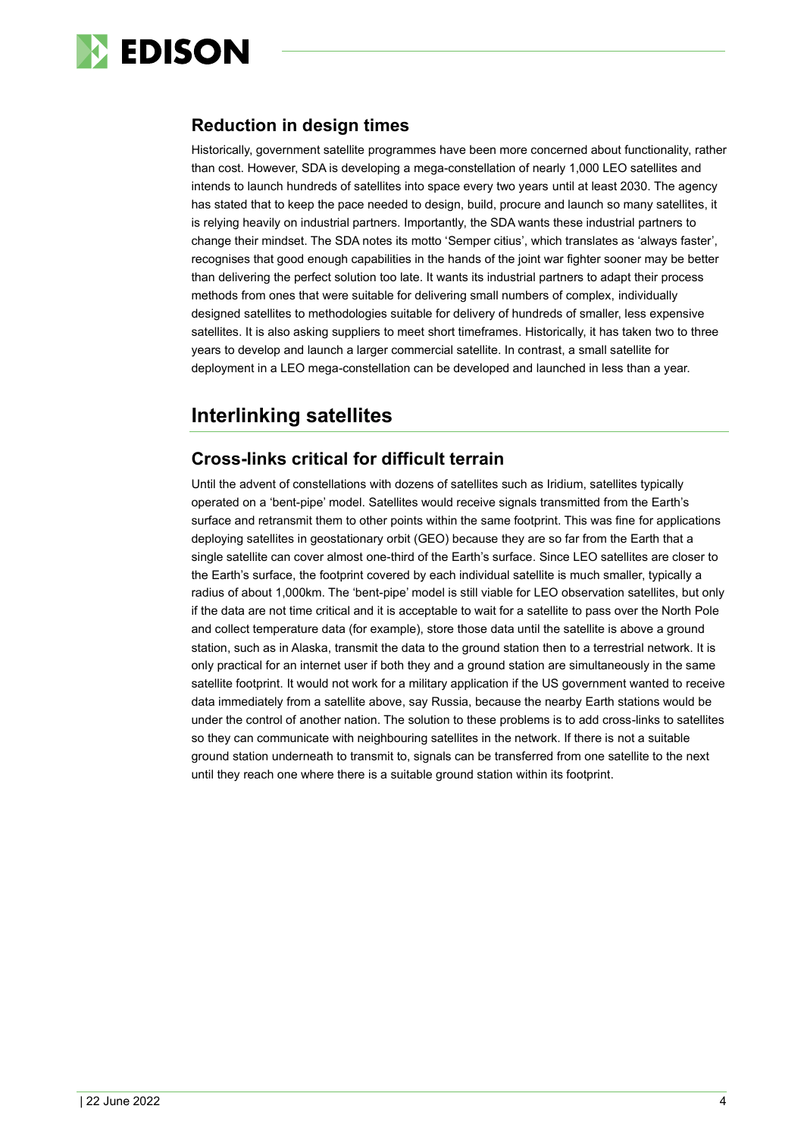

## **Reduction in design times**

Historically, government satellite programmes have been more concerned about functionality, rather than cost. However, SDA is developing a mega-constellation of nearly 1,000 LEO satellites and intends to launch hundreds of satellites into space every two years until at least 2030. The agency has stated that to keep the pace needed to design, build, procure and launch so many satellites, it is relying heavily on industrial partners. Importantly, the SDA wants these industrial partners to change their mindset. The SDA notes its motto 'Semper citius', which translates as 'always faster', recognises that good enough capabilities in the hands of the joint war fighter sooner may be better than delivering the perfect solution too late. It wants its industrial partners to adapt their process methods from ones that were suitable for delivering small numbers of complex, individually designed satellites to methodologies suitable for delivery of hundreds of smaller, less expensive satellites. It is also asking suppliers to meet short timeframes. Historically, it has taken two to three years to develop and launch a larger commercial satellite. In contrast, a small satellite for deployment in a LEO mega-constellation can be developed and launched in less than a year.

# **Interlinking satellites**

## **Cross-links critical for difficult terrain**

Until the advent of constellations with dozens of satellites such as Iridium, satellites typically operated on a 'bent-pipe' model. Satellites would receive signals transmitted from the Earth's surface and retransmit them to other points within the same footprint. This was fine for applications deploying satellites in geostationary orbit (GEO) because they are so far from the Earth that a single satellite can cover almost one-third of the Earth's surface. Since LEO satellites are closer to the Earth's surface, the footprint covered by each individual satellite is much smaller, typically a radius of about 1,000km. The 'bent-pipe' model is still viable for LEO observation satellites, but only if the data are not time critical and it is acceptable to wait for a satellite to pass over the North Pole and collect temperature data (for example), store those data until the satellite is above a ground station, such as in Alaska, transmit the data to the ground station then to a terrestrial network. It is only practical for an internet user if both they and a ground station are simultaneously in the same satellite footprint. It would not work for a military application if the US government wanted to receive data immediately from a satellite above, say Russia, because the nearby Earth stations would be under the control of another nation. The solution to these problems is to add cross-links to satellites so they can communicate with neighbouring satellites in the network. If there is not a suitable ground station underneath to transmit to, signals can be transferred from one satellite to the next until they reach one where there is a suitable ground station within its footprint.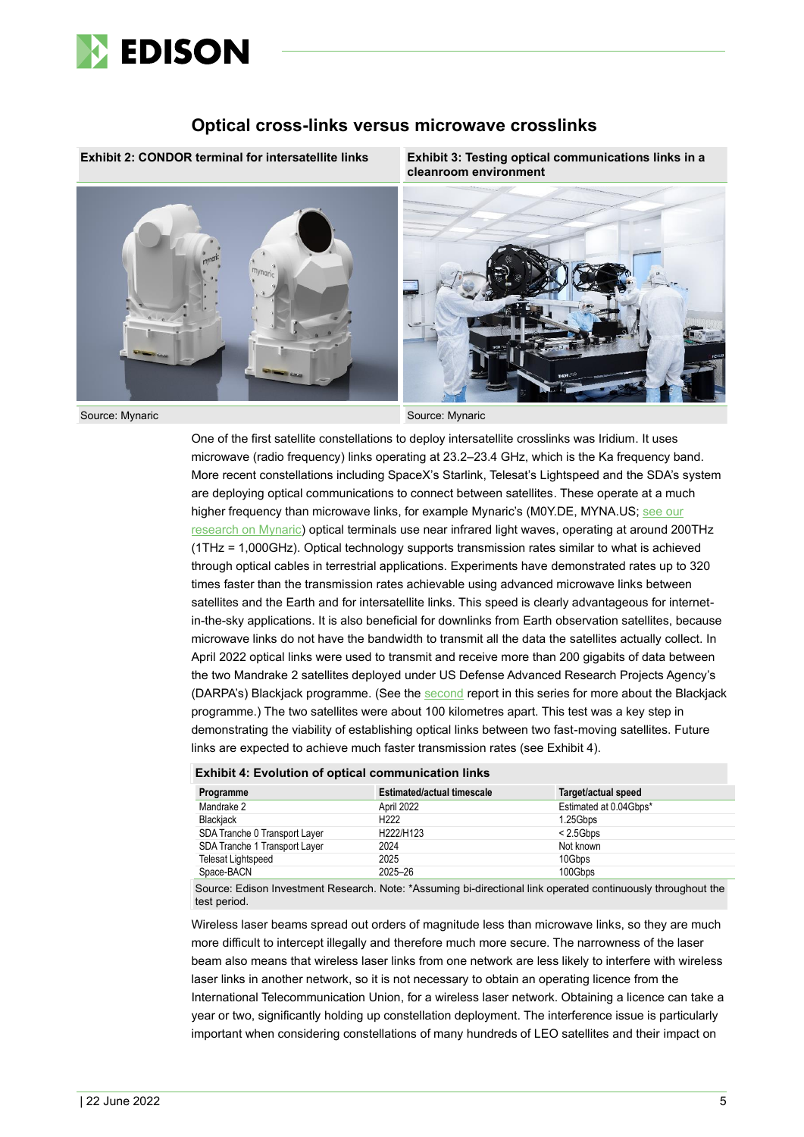

#### **Optical cross-links versus microwave crosslinks**



**Exhibit 2: CONDOR terminal for intersatellite links Exhibit 3: Testing optical communications links in a cleanroom environment**



Source: Mynaric Source: Mynaric Source: Mynaric

One of the first satellite constellations to deploy intersatellite crosslinks was Iridium. It uses microwave (radio frequency) links operating at 23.2–23.4 GHz, which is the Ka frequency band. More recent constellations including SpaceX's Starlink, Telesat's Lightspeed and the SDA's system are deploying optical communications to connect between satellites. These operate at a much higher frequency than microwave links, for example Mynaric's (M0Y.DE, MYNA.US; [see our](https://www.edisongroup.com/company/mynaric/) [research on Mynaric\)](https://www.edisongroup.com/company/mynaric/) optical terminals use near infrared light waves, operating at around 200THz (1THz = 1,000GHz). Optical technology supports transmission rates similar to what is achieved through optical cables in terrestrial applications. Experiments have demonstrated rates up to 320 times faster than the transmission rates achievable using advanced microwave links between satellites and the Earth and for intersatellite links. This speed is clearly advantageous for internetin-the-sky applications. It is also beneficial for downlinks from Earth observation satellites, because microwave links do not have the bandwidth to transmit all the data the satellites actually collect. In April 2022 optical links were used to transmit and receive more than 200 gigabits of data between the two Mandrake 2 satellites deployed under US Defense Advanced Research Projects Agency's (DARPA's) Blackjack programme. (See the [second](https://www.edisongroup.com/sector-report/internet-in-the-sky/) report in this series for more about the Blackjack programme.) The two satellites were about 100 kilometres apart. This test was a key step in demonstrating the viability of establishing optical links between two fast-moving satellites. Future links are expected to achieve much faster transmission rates (see Exhibit 4).

#### **Exhibit 4: Evolution of optical communication links**

| Programme                     | <b>Estimated/actual timescale</b> | Target/actual speed    |
|-------------------------------|-----------------------------------|------------------------|
| Mandrake 2                    | April 2022                        | Estimated at 0.04Gbps* |
| Blackjack                     | H <sub>222</sub>                  | 1.25Gbps               |
| SDA Tranche 0 Transport Layer | H222/H123                         | < 2.5Gbps              |
| SDA Tranche 1 Transport Layer | 2024                              | Not known              |
| <b>Telesat Lightspeed</b>     | 2025                              | 10Gbps                 |
| Space-BACN                    | 2025-26                           | 100Gbps                |

Source: Edison Investment Research. Note: \*Assuming bi-directional link operated continuously throughout the test period.

Wireless laser beams spread out orders of magnitude less than microwave links, so they are much more difficult to intercept illegally and therefore much more secure. The narrowness of the laser beam also means that wireless laser links from one network are less likely to interfere with wireless laser links in another network, so it is not necessary to obtain an operating licence from the International Telecommunication Union, for a wireless laser network. Obtaining a licence can take a year or two, significantly holding up constellation deployment. The interference issue is particularly important when considering constellations of many hundreds of LEO satellites and their impact on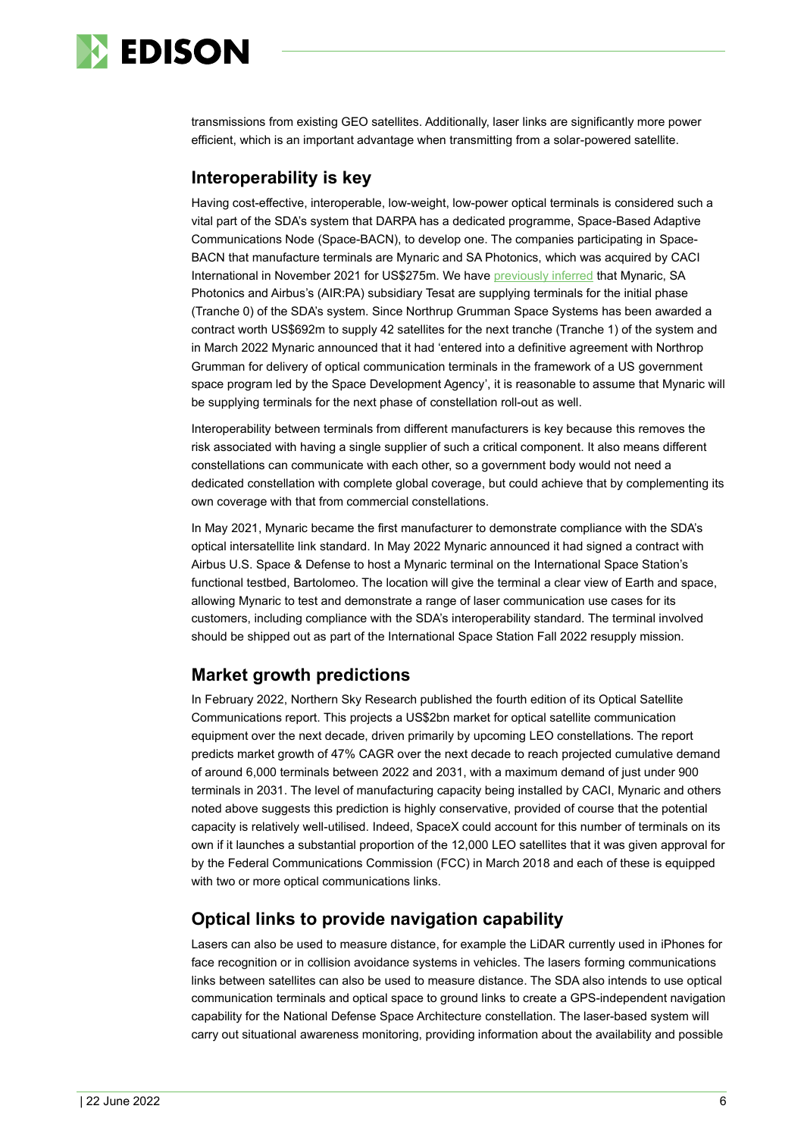

transmissions from existing GEO satellites. Additionally, laser links are significantly more power efficient, which is an important advantage when transmitting from a solar-powered satellite.

### **Interoperability is key**

Having cost-effective, interoperable, low-weight, low-power optical terminals is considered such a vital part of the SDA's system that DARPA has a dedicated programme, Space-Based Adaptive Communications Node (Space-BACN), to develop one. The companies participating in Space-BACN that manufacture terminals are Mynaric and SA Photonics, which was acquired by CACI International in November 2021 for US\$275m. We hav[e previously inferred](https://www.edisongroup.com/publication/optical-fibre-for-the-skies-2/28127/) that Mynaric, SA Photonics and Airbus's (AIR:PA) subsidiary Tesat are supplying terminals for the initial phase (Tranche 0) of the SDA's system. Since Northrup Grumman Space Systems has been awarded a contract worth US\$692m to supply 42 satellites for the next tranche (Tranche 1) of the system and in March 2022 Mynaric announced that it had 'entered into a definitive agreement with Northrop Grumman for delivery of optical communication terminals in the framework of a US government space program led by the Space Development Agency', it is reasonable to assume that Mynaric will be supplying terminals for the next phase of constellation roll-out as well.

Interoperability between terminals from different manufacturers is key because this removes the risk associated with having a single supplier of such a critical component. It also means different constellations can communicate with each other, so a government body would not need a dedicated constellation with complete global coverage, but could achieve that by complementing its own coverage with that from commercial constellations.

In May 2021, Mynaric became the first manufacturer to demonstrate compliance with the SDA's optical intersatellite link standard. In May 2022 Mynaric announced it had signed a contract with Airbus U.S. Space & Defense to host a Mynaric terminal on the International Space Station's functional testbed, Bartolomeo. The location will give the terminal a clear view of Earth and space, allowing Mynaric to test and demonstrate a range of laser communication use cases for its customers, including compliance with the SDA's interoperability standard. The terminal involved should be shipped out as part of the International Space Station Fall 2022 resupply mission.

## **Market growth predictions**

In February 2022, Northern Sky Research published the fourth edition of its Optical Satellite Communications report. This projects a US\$2bn market for optical satellite communication equipment over the next decade, driven primarily by upcoming LEO constellations. The report predicts market growth of 47% CAGR over the next decade to reach projected cumulative demand of around 6,000 terminals between 2022 and 2031, with a maximum demand of just under 900 terminals in 2031. The level of manufacturing capacity being installed by CACI, Mynaric and others noted above suggests this prediction is highly conservative, provided of course that the potential capacity is relatively well-utilised. Indeed, SpaceX could account for this number of terminals on its own if it launches a substantial proportion of the 12,000 LEO satellites that it was given approval for by the Federal Communications Commission (FCC) in March 2018 and each of these is equipped with two or more optical communications links.

### **Optical links to provide navigation capability**

Lasers can also be used to measure distance, for example the LiDAR currently used in iPhones for face recognition or in collision avoidance systems in vehicles. The lasers forming communications links between satellites can also be used to measure distance. The SDA also intends to use optical communication terminals and optical space to ground links to create a GPS-independent navigation capability for the National Defense Space Architecture constellation. The laser-based system will carry out situational awareness monitoring, providing information about the availability and possible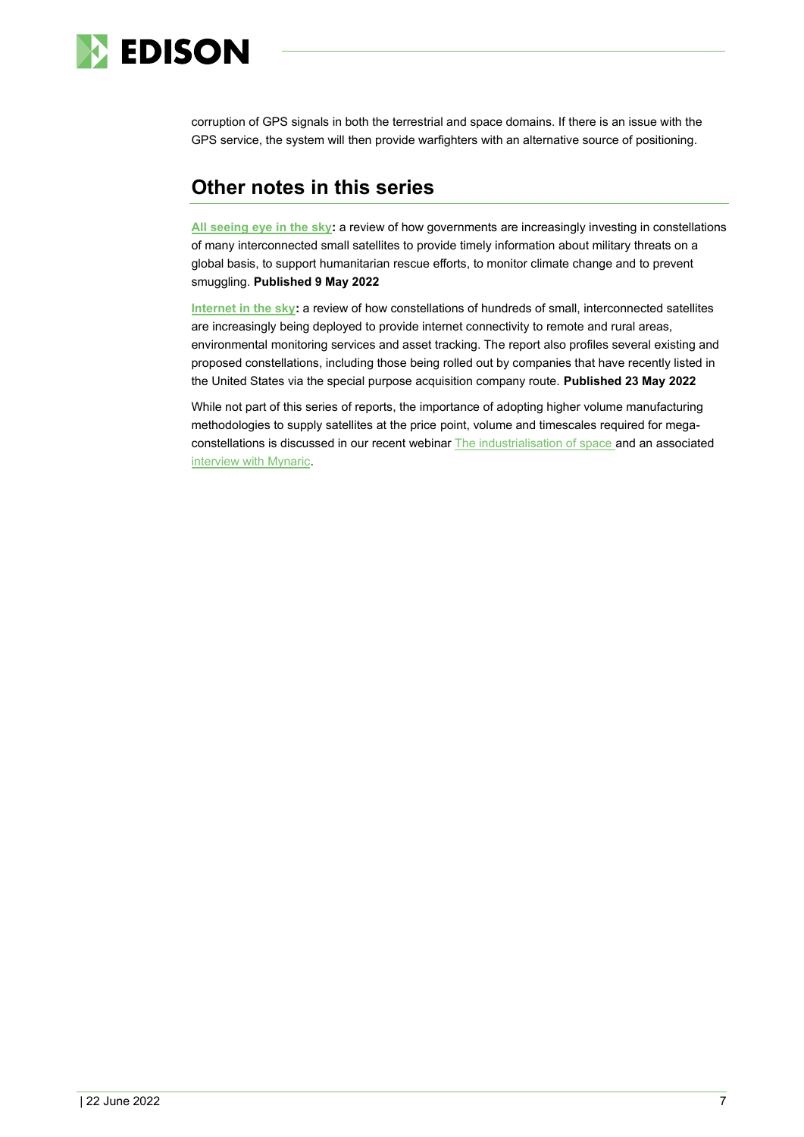

corruption of GPS signals in both the terrestrial and space domains. If there is an issue with the GPS service, the system will then provide warfighters with an alternative source of positioning.

# **Other notes in this series**

**[All seeing eye](https://www.edisongroup.com/sector-report/all-seeing-eye-in-the-sky/) in the sky:** a review of how governments are increasingly investing in constellations of many interconnected small satellites to provide timely information about military threats on a global basis, to support humanitarian rescue efforts, to monitor climate change and to prevent smuggling. **Published 9 May 2022**

**[Internet in the sky:](https://www.edisongroup.com/sector-report/internet-in-the-sky/)** a review of how constellations of hundreds of small, interconnected satellites are increasingly being deployed to provide internet connectivity to remote and rural areas, environmental monitoring services and asset tracking. The report also profiles several existing and proposed constellations, including those being rolled out by companies that have recently listed in the United States via the special purpose acquisition company route. **Published 23 May 2022**

While not part of this series of reports, the importance of adopting higher volume manufacturing methodologies to supply satellites at the price point, volume and timescales required for megaconstellations is discussed in our recent webina[r The industrialisation of space](https://www.edisongroup.com/edison-tv/webinar-the-industrialisation-of-space/) and an associate[d](https://www.youtube.com/watch?v=O8NCZdjJPlQ) [interview with Mynaric.](https://www.youtube.com/watch?v=O8NCZdjJPlQ)